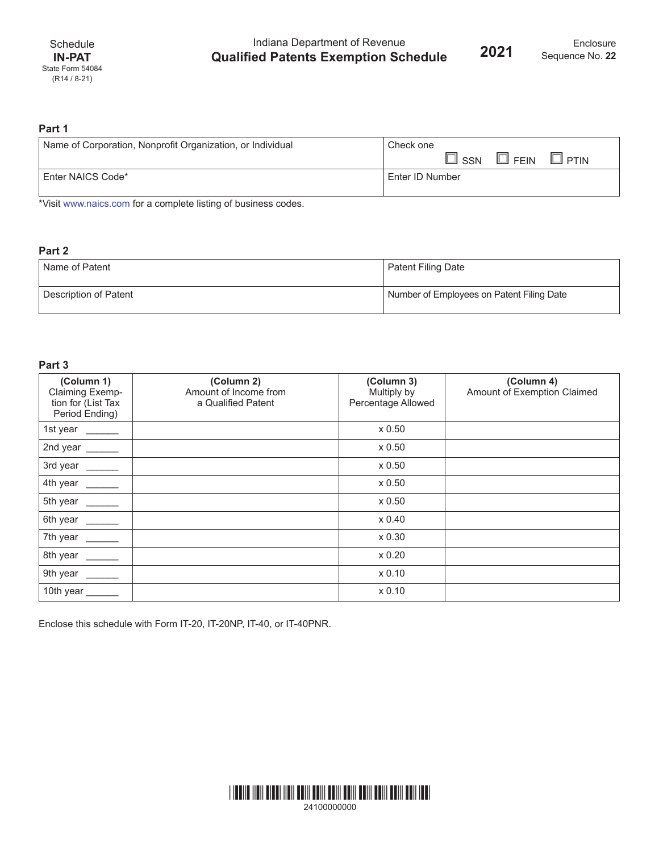Indiana Department of Revenue **Qualified Patents Exemption Schedule**

## **Part 1**

| Name of Corporation, Nonprofit Organization, or Individual | Check one                                      |  |
|------------------------------------------------------------|------------------------------------------------|--|
|                                                            | $\square$ FEIN<br>$\square$ ssn<br>$\Box$ PTIN |  |
| Enter NAICS Code*                                          | Enter ID Number                                |  |

\*Visit [www.naics.com](http://www.naics.com) for a complete listing of business codes.

## **Part 2**

| Name of Patent        | Patent Filing Date                        |  |
|-----------------------|-------------------------------------------|--|
| Description of Patent | Number of Employees on Patent Filing Date |  |

## **Part 3**

| (Column 1)<br>Claiming Exemp-<br>tion for (List Tax<br>Period Ending)                                                    | (Column 2)<br>Amount of Income from<br>a Qualified Patent | (Column 3)<br>Multiply by<br>Percentage Allowed | (Column 4)<br>Amount of Exemption Claimed |
|--------------------------------------------------------------------------------------------------------------------------|-----------------------------------------------------------|-------------------------------------------------|-------------------------------------------|
| 1st year $\frac{1}{\sqrt{1-\frac{1}{2}}\sqrt{1-\frac{1}{2}}\sqrt{1-\frac{1}{2}}\sqrt{1-\frac{1}{2}}\sqrt{1-\frac{1}{2}}$ |                                                           | x 0.50                                          |                                           |
| 2nd year $\frac{1}{\sqrt{1-\frac{1}{2}}\sqrt{1-\frac{1}{2}}\sqrt{1-\frac{1}{2}}\sqrt{1-\frac{1}{2}}\sqrt{1-\frac{1}{2}}$ |                                                           | x 0.50                                          |                                           |
| 3rd year ______                                                                                                          |                                                           | x 0.50                                          |                                           |
| 4th year _____                                                                                                           |                                                           | x 0.50                                          |                                           |
| 5th year _____                                                                                                           |                                                           | x 0.50                                          |                                           |
| 6th year _____                                                                                                           |                                                           | x 0.40                                          |                                           |
| 7th year<br><u>and</u> the state                                                                                         |                                                           | x 0.30                                          |                                           |
| 8th year ______                                                                                                          |                                                           | x 0.20                                          |                                           |
| 9th year $\frac{1}{\sqrt{1-\frac{1}{2}}\sqrt{1-\frac{1}{2}}\sqrt{1-\frac{1}{2}}\sqrt{1-\frac{1}{2}}\sqrt{1-\frac{1}{2}}$ |                                                           | x 0.10                                          |                                           |
| 10th year $\frac{1}{\sqrt{1-\frac{1}{2}}\sqrt{1-\frac{1}{2}}\left(\frac{1}{2}-\frac{1}{2}\right)}$                       |                                                           | x 0.10                                          |                                           |

Enclose this schedule with Form IT-20, IT-20NP, IT-40, or IT-40PNR.